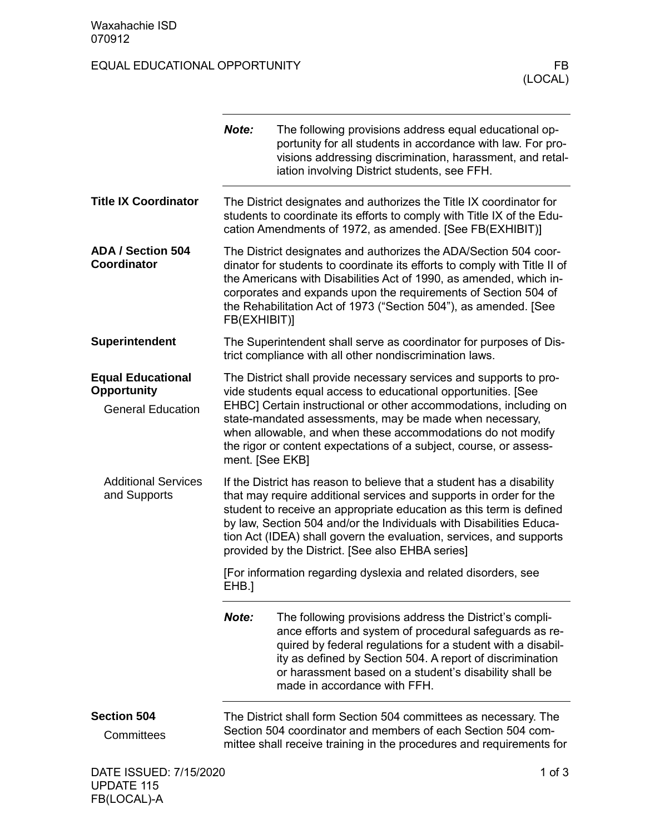## EQUAL EDUCATIONAL OPPORTUNITY FB

|                                                                            | Note:           | The following provisions address equal educational op-<br>portunity for all students in accordance with law. For pro-<br>visions addressing discrimination, harassment, and retal-<br>iation involving District students, see FFH.                                                                                                                                                                                   |
|----------------------------------------------------------------------------|-----------------|----------------------------------------------------------------------------------------------------------------------------------------------------------------------------------------------------------------------------------------------------------------------------------------------------------------------------------------------------------------------------------------------------------------------|
| <b>Title IX Coordinator</b>                                                |                 | The District designates and authorizes the Title IX coordinator for<br>students to coordinate its efforts to comply with Title IX of the Edu-<br>cation Amendments of 1972, as amended. [See FB(EXHIBIT)]                                                                                                                                                                                                            |
| <b>ADA / Section 504</b><br>Coordinator                                    | FB(EXHIBIT)]    | The District designates and authorizes the ADA/Section 504 coor-<br>dinator for students to coordinate its efforts to comply with Title II of<br>the Americans with Disabilities Act of 1990, as amended, which in-<br>corporates and expands upon the requirements of Section 504 of<br>the Rehabilitation Act of 1973 ("Section 504"), as amended. [See                                                            |
| Superintendent                                                             |                 | The Superintendent shall serve as coordinator for purposes of Dis-<br>trict compliance with all other nondiscrimination laws.                                                                                                                                                                                                                                                                                        |
| <b>Equal Educational</b><br><b>Opportunity</b><br><b>General Education</b> | ment. [See EKB] | The District shall provide necessary services and supports to pro-<br>vide students equal access to educational opportunities. [See<br>EHBC] Certain instructional or other accommodations, including on<br>state-mandated assessments, may be made when necessary,<br>when allowable, and when these accommodations do not modify<br>the rigor or content expectations of a subject, course, or assess-             |
| <b>Additional Services</b><br>and Supports                                 |                 | If the District has reason to believe that a student has a disability<br>that may require additional services and supports in order for the<br>student to receive an appropriate education as this term is defined<br>by law, Section 504 and/or the Individuals with Disabilities Educa-<br>tion Act (IDEA) shall govern the evaluation, services, and supports<br>provided by the District. [See also EHBA series] |
|                                                                            | EHB.]           | [For information regarding dyslexia and related disorders, see                                                                                                                                                                                                                                                                                                                                                       |
|                                                                            | Note:           | The following provisions address the District's compli-<br>ance efforts and system of procedural safeguards as re-<br>quired by federal regulations for a student with a disabil-<br>ity as defined by Section 504. A report of discrimination<br>or harassment based on a student's disability shall be<br>made in accordance with FFH.                                                                             |
| <b>Section 504</b>                                                         |                 | The District shall form Section 504 committees as necessary. The                                                                                                                                                                                                                                                                                                                                                     |
| Committees                                                                 |                 | Section 504 coordinator and members of each Section 504 com-<br>mittee shall receive training in the procedures and requirements for                                                                                                                                                                                                                                                                                 |
| DATE ISSUED: 7/15/2020                                                     |                 | $1$ of $3$                                                                                                                                                                                                                                                                                                                                                                                                           |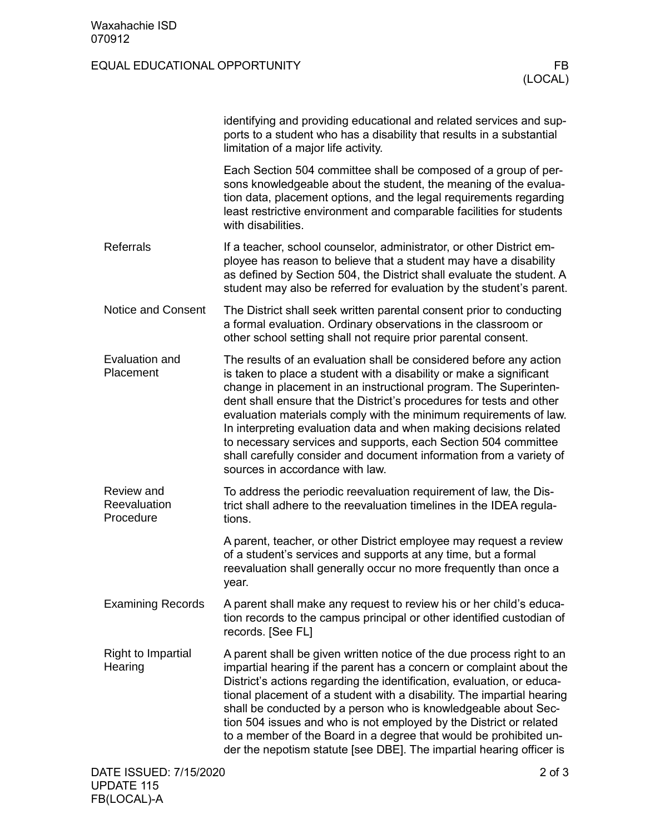## EQUAL EDUCATIONAL OPPORTUNITY FB

|                                         | identifying and providing educational and related services and sup-<br>ports to a student who has a disability that results in a substantial<br>limitation of a major life activity.                                                                                                                                                                                                                                                                                                                                                                                                                        |
|-----------------------------------------|-------------------------------------------------------------------------------------------------------------------------------------------------------------------------------------------------------------------------------------------------------------------------------------------------------------------------------------------------------------------------------------------------------------------------------------------------------------------------------------------------------------------------------------------------------------------------------------------------------------|
|                                         | Each Section 504 committee shall be composed of a group of per-<br>sons knowledgeable about the student, the meaning of the evalua-<br>tion data, placement options, and the legal requirements regarding<br>least restrictive environment and comparable facilities for students<br>with disabilities.                                                                                                                                                                                                                                                                                                     |
| <b>Referrals</b>                        | If a teacher, school counselor, administrator, or other District em-<br>ployee has reason to believe that a student may have a disability<br>as defined by Section 504, the District shall evaluate the student. A<br>student may also be referred for evaluation by the student's parent.                                                                                                                                                                                                                                                                                                                  |
| <b>Notice and Consent</b>               | The District shall seek written parental consent prior to conducting<br>a formal evaluation. Ordinary observations in the classroom or<br>other school setting shall not require prior parental consent.                                                                                                                                                                                                                                                                                                                                                                                                    |
| Evaluation and<br>Placement             | The results of an evaluation shall be considered before any action<br>is taken to place a student with a disability or make a significant<br>change in placement in an instructional program. The Superinten-<br>dent shall ensure that the District's procedures for tests and other<br>evaluation materials comply with the minimum requirements of law.<br>In interpreting evaluation data and when making decisions related<br>to necessary services and supports, each Section 504 committee<br>shall carefully consider and document information from a variety of<br>sources in accordance with law. |
| Review and<br>Reevaluation<br>Procedure | To address the periodic reevaluation requirement of law, the Dis-<br>trict shall adhere to the reevaluation timelines in the IDEA regula-<br>tions.                                                                                                                                                                                                                                                                                                                                                                                                                                                         |
|                                         | A parent, teacher, or other District employee may request a review<br>of a student's services and supports at any time, but a formal<br>reevaluation shall generally occur no more frequently than once a<br>year.                                                                                                                                                                                                                                                                                                                                                                                          |
| <b>Examining Records</b>                | A parent shall make any request to review his or her child's educa-<br>tion records to the campus principal or other identified custodian of<br>records. [See FL]                                                                                                                                                                                                                                                                                                                                                                                                                                           |
| <b>Right to Impartial</b><br>Hearing    | A parent shall be given written notice of the due process right to an<br>impartial hearing if the parent has a concern or complaint about the<br>District's actions regarding the identification, evaluation, or educa-<br>tional placement of a student with a disability. The impartial hearing<br>shall be conducted by a person who is knowledgeable about Sec-<br>tion 504 issues and who is not employed by the District or related<br>to a member of the Board in a degree that would be prohibited un-<br>der the nepotism statute [see DBE]. The impartial hearing officer is                      |
| DATE ISSUED: 7/15/2020                  | $2$ of $3$                                                                                                                                                                                                                                                                                                                                                                                                                                                                                                                                                                                                  |